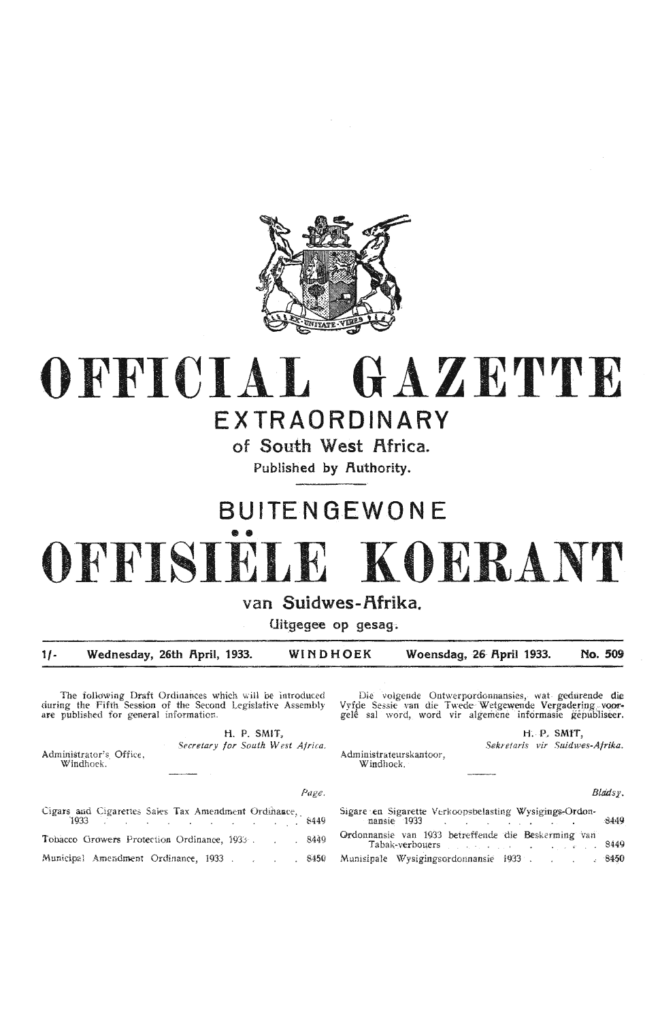

# **OFFICIAL GAZETTE**

### **EXTRAORDINARY**

**of South West Africa.** 

**Published by Authority.** 

### **BUITENGEWON E**

# •• **OFFISIELE KOERANT**

#### van Suidwes-Afrika.

**Uitgegee op gesag.** 

**1/- Wednesday, 26th f\pril, 1933. WINDHOEK Woensdag, 26· f\pril 1933. No. 509** 

The following Draft Ordinances which will be introduced during the Fifth Session of the Second Legislative Assembly are pµblished for general information.

> **H.** P. **SMIT,**  *Secretary for South W est Africa.*

Administrator's Office, Windhoek.

Die volgende Ontwerpordonnansies, wat gedurende die Vyfde Sessie van die Twede Wetgewende Vergadering, voorgele sal word, word vir algemene informasie gepubliseer.

> H. P. SMIT, *Sekntaris vir Suidwes-Afrika.*

Administrateurskantoor, Windhoek.

*BladSJ.',* 

| Page.                                                                         |                                                                                                                                                                                                                                                                                       |
|-------------------------------------------------------------------------------|---------------------------------------------------------------------------------------------------------------------------------------------------------------------------------------------------------------------------------------------------------------------------------------|
| Cigars and Cigarettes Sales Tax Amendment Ordinance,<br>$1933$ <b>1933</b>    | Sigare en Sigarette Verkoopsbelasting Wysigings-Ordon-<br>mansie 1933 deutsche Amerikaanse koning van de koning van de koning van de koning van de koning van de koning                                                                                                               |
| Tobacco Growers Protection Ordinance, 1933 8449                               | Ordonnansie van 1933 betreffende die Beskerming van<br>Tabak-verbouers and the contract of the contract of the contract of the contract of the contract of the contract of the contract of the contract of the contract of the contract of the contract of the contract of the contra |
| Municipal Amendment Ordinance, 1933 8450 Munisipale Wysigingsordonnansie 1933 |                                                                                                                                                                                                                                                                                       |

1933 . . . . . . . . . . . 8449 nansie 1933 B449 Ordonnansie van 1933 betreffende die Beskerming van 8449 Tabak-verboµers  $\mathcal{L}^{\mathcal{L}}(\mathcal{A}_{\mathcal{L}}^{\mathcal{L}}(\mathcal{A}_{\mathcal{L}}^{\mathcal{L}}(\mathcal{A}_{\mathcal{L}}^{\mathcal{L}}(\mathcal{A}_{\mathcal{L}}^{\mathcal{L}})))$ Munisipale \Vysigingsordonnansie 1933 . -8450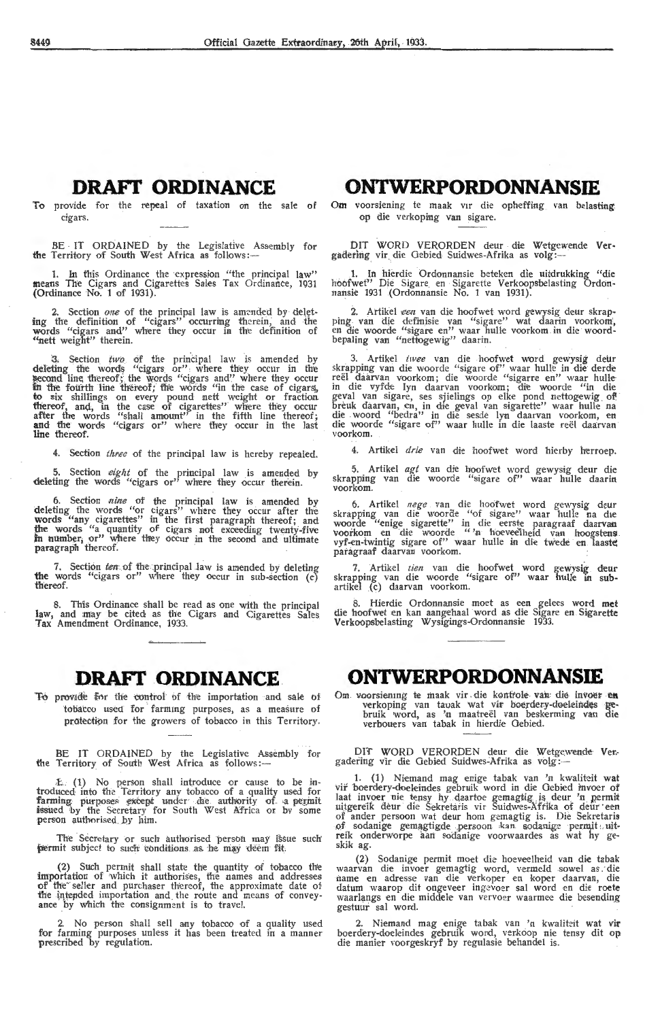#### **DRAFI' ORDINANCE**

To provide for the repeal of taxation on the sale of cigars.

BE IT ORDAINED by the Legislative Assembly for the Territory of South West Africa as follows:—

1. In this Ordinance the ·expression "the principal law" means The Cigars and Cigarettes Sales Tax Ordinance, 1931 (Ordinance No. 1 of 1931).

2. Section one of the principal law is amended by deleting the definition of "cigars" occurring therein, and the words "cigars and" where they occur in the definition of "nett weight" therein.

3. Section two of the principal law is amended by deleting the words "cigars or" where they occur in the  $\frac{1}{2}$  second line thereof; the words "cigars and" where they occur in the fourth line thereof; the words "in the case of cigars, to six shillings on every pound nett weight or fraction thereof, and, in the case of cigarettes" where they occur after the words "shall amount" in the fifth line thereof; **and** the words "cigars or" Where they occur in the last line thereof.

4. Section *three* of the principal law is hereby repealed.

5. Section eight of the principal law is amended by deleting the words "cigars or" where they occur therein.

6. Section *nine* of the principal law is amended by deleting the words "or cigars" where they occur after the **words** "any cigarettes" in the first paragraph thereof; and the words "a quantity of cigars not exceeding twenty-five in **number**; or" where they occur in the second and ultimate paragraph thereof.

7. Section ten of the principal law is amended by deleting **the** words "cigars or" where they occur in sub-section (c) thereof.

8. Th'is Ordinance shall be read as one with the principal law, and may be cited as the Cigars and Cigarettes Sales Tax Amendment Ordinance, 1933.

#### **DRAFf .ORDINANCE**

To provide for the control of the importation and sale of tobatco used for farming purposes, as a measure of protection for the growers of tobacco in this Territory.

BE IT ORDAINED by the Legislative Assembly for the Territory of South West Africa as follows:-

(1) No person shall introduce or cause to be introduced into the Territory any tobacco of a quality used for farming purposes except under de authority of a permit issued by the Secretary for South West A'frica or bv some person authmised ,by him.

The Secretary or such authorised person may issue such permit subject to such conditions as he may deem fit.

(2) Such permit shall state the quantity of tobacco the importation of which it authorises, the names and addresses of the seller and purchaser thereof, the approximate date of of the seller and purchaser thereof, the approximate date of-<br>the intended importation and the route and means of convey-<br>ance by which the consignment is to travel.

2. No person shall sell any tobacco of a quality used for farming purposes unless it has been treated in a manner prescribed by regulation.

#### **ONTWERPORDONNANSIE**

Om voorsiening te maak vir die opheffing van belasting op die verkoping van sigare.

DIT WORD VERORDEN deur die Wetgewende Vergadering vir die Gebied Suidwes-Afrika as volg :-

. . .1. In hierdie Ordonnansie beteken die uitdrukking "die hoofwet" Die Sigare en Sigarette Verkoopsbelasting Ordonnansie 1931 (Ordonnansie No. 1 van 1931).

2. Artikel *een* van die hoofwet word gewysig deur skrapping. van die defrnisie van "sigare" wat daarin voorkom', en die woorde "sigare en" waar hulle voorkom in die woordbepaling van "nettogewig" daarin.

3. Artikel *twee* van die hoofwet word gewysig deur<br>skrapping van die woorde "sigare of" waar hulle in die derde<br>reël daarvan voorkom; die woorde "sigarre en" waar hulle<br>in die vyfde Iyn daarvan voorkom; die woorde "in die geval van sigare, ses sjielings op elke pond nettogewig of breuk daarvan, en, in die geval van sigarette" waar hulle na die . woord "bedra" in die sesde lyn daarvan voorkom, en die woorde "sigare of" waar hulle in die laaste reël daarvan voorkom.

4. Artikel *drie* van die hoofwet Word hierby herroep.

5. Artikel agt van die hoofwet word gewysig deur die skrapping van die woorde "sigare of" waar huHe daarin voorkom.

6. Artikel *nege* van die hoofwet word gewysig deur skrapping van die woorde "of sigare" waar hulle na die woorde "-<br>woorde "enige sigarette" in die eerste paragraaf daarvan voorkom en die woorde "'n hoeveelheid van hoogstens.<br>vyf-en-twintig sigare of" waar hulle in die twede en laaste paragraaf daarvan voorkom.

7. Artikel *tien* van die hoofwet word gewysig deur skrapping van die woorde "sigare of" waar hulle in sub-<br>artikel (c) daarvan voorkom.

8. Hierdie Ordonnansie moet as een gelees word **met**  die hoofwet en kan aangehaal word as die Sigare en Sigarette Verkoopsbelasting Wysigings-Ordonnansie 1933.

#### **ONTWERPORDONNANSIE**

Om voorsiening te maak vir die kontrole van die invoer en verkoping van tauak wat vir boerdery-doeleindes gebruik word, as 'n maatreël van beskerming van die verbouers van tabak in hierdie Gebied.

Off WORD VERORDEN deur die Wetge.wende Ver.- gadeiing vir die Gebied Suidwes~Afrika as volg :-

1. (1) Niemand mag enige tabak van 'n kwa!iteit wat vir boerdery-doeleindes gebruik word in die Gebied invoer of Iaat invoer nie tensy hy daartoe gemagtig is deur 'n permit uitgereik deur die Sekretaris vir Suidwes-Afrika of deur een mtgere1k deur die Sekretans vu Smdwes-Afttka of deur · een of ander persoon wat deur horn gemagtig is. Die Sekretaris of sodanige gemagtigde persoon kan sodanige permit uit- reik onderworpe aan sodanige voorwaardes as wat hy geskik ag.

(2) Sodanige permit moet die hoeveelheid van die tabak waarvan die invoer gemagtig word, vermeld sowel as die<br>•name en adresse van die verkoper en koper daarvan, die datum waarop dit ongeveer ingevoer sal word en die roete waarlangs en die middele van vervoer waarmee die besending gestuur sal word.

2. Niemand mag enige tabak van 'n kwaliteit wat vir boerdery-doeleindes gebruik word, verkoop nie tensy dit op die manier voorgeskryf by regulasie behandel is.